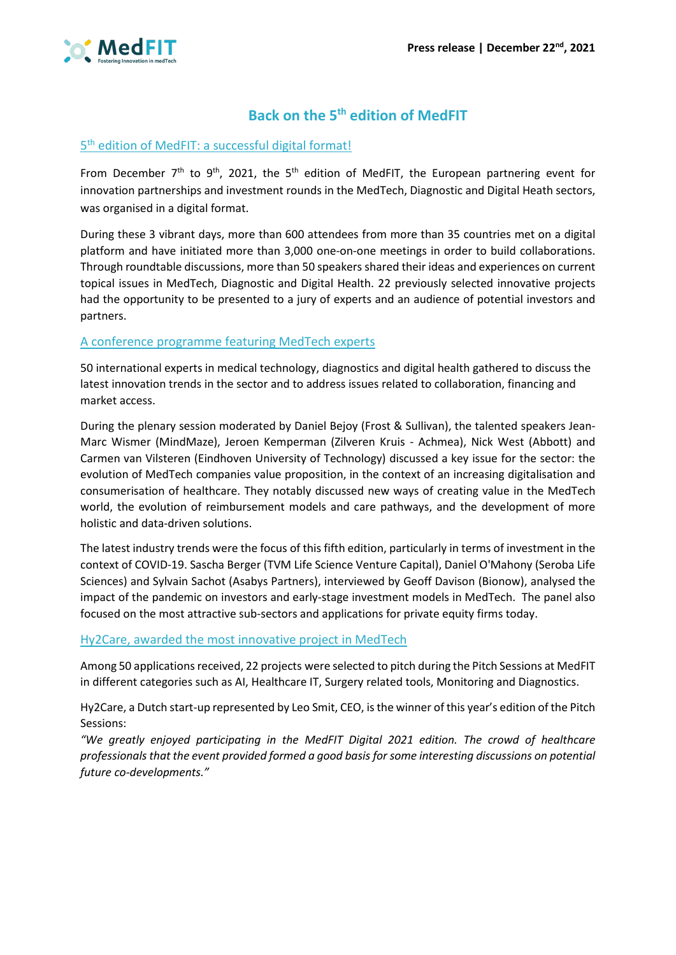

# **Back on the 5th edition of MedFIT**

## 5th edition of MedFIT: a successful digital format!

From December  $7<sup>th</sup>$  to 9<sup>th</sup>, 2021, the 5<sup>th</sup> edition of MedFIT, the European partnering event for innovation partnerships and investment rounds in the MedTech, Diagnostic and Digital Heath sectors, was organised in a digital format.

During these 3 vibrant days, more than 600 attendees from more than 35 countries met on a digital platform and have initiated more than 3,000 one-on-one meetings in order to build collaborations. Through roundtable discussions, more than 50 speakers shared their ideas and experiences on current topical issues in MedTech, Diagnostic and Digital Health. 22 previously selected innovative projects had the opportunity to be presented to a jury of experts and an audience of potential investors and partners.

# A conference programme featuring MedTech experts

50 international experts in medical technology, diagnostics and digital health gathered to discuss the latest innovation trends in the sector and to address issues related to collaboration, financing and market access.

During the plenary session moderated by Daniel Bejoy (Frost & Sullivan), the talented speakers Jean-Marc Wismer (MindMaze), Jeroen Kemperman (Zilveren Kruis - Achmea), Nick West (Abbott) and Carmen van Vilsteren (Eindhoven University of Technology) discussed a key issue for the sector: the evolution of MedTech companies value proposition, in the context of an increasing digitalisation and consumerisation of healthcare. They notably discussed new ways of creating value in the MedTech world, the evolution of reimbursement models and care pathways, and the development of more holistic and data-driven solutions.

The latest industry trends were the focus of this fifth edition, particularly in terms of investment in the context of COVID-19. Sascha Berger (TVM Life Science Venture Capital), Daniel O'Mahony (Seroba Life Sciences) and Sylvain Sachot (Asabys Partners), interviewed by Geoff Davison (Bionow), analysed the impact of the pandemic on investors and early-stage investment models in MedTech. The panel also focused on the most attractive sub-sectors and applications for private equity firms today.

## Hy2Care, awarded the most innovative project in MedTech

Among 50 applications received, 22 projects were selected to pitch during the Pitch Sessions at MedFIT in different categories such as AI, Healthcare IT, Surgery related tools, Monitoring and Diagnostics.

Hy2Care, a Dutch start-up represented by Leo Smit, CEO, is the winner of this year's edition of the Pitch Sessions:

*"We greatly enjoyed participating in the MedFIT Digital 2021 edition. The crowd of healthcare professionals that the event provided formed a good basis for some interesting discussions on potential future co-developments."*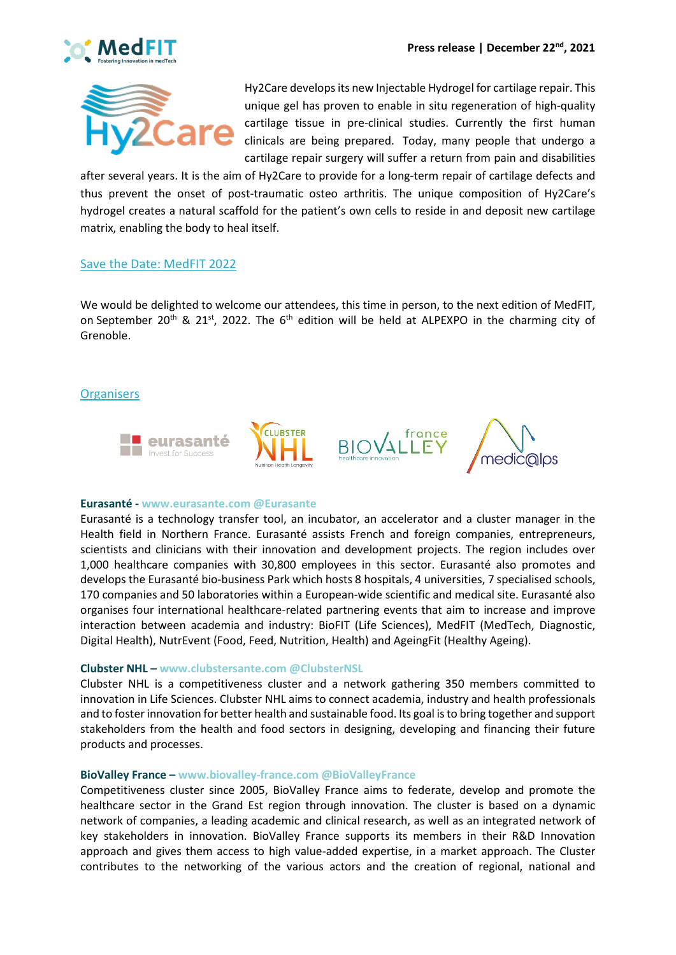



Hy2Care develops its new Injectable Hydrogel for cartilage repair. This unique gel has proven to enable in situ regeneration of high-quality cartilage tissue in pre-clinical studies. Currently the first human clinicals are being prepared. Today, many people that undergo a cartilage repair surgery will suffer a return from pain and disabilities

after several years. It is the aim of Hy2Care to provide for a long-term repair of cartilage defects and thus prevent the onset of post-traumatic osteo arthritis. The unique composition of Hy2Care's hydrogel creates a natural scaffold for the patient's own cells to reside in and deposit new cartilage matrix, enabling the body to heal itself.

## Save the Date: MedFIT 2022

We would be delighted to welcome our attendees, this time in person, to the next edition of MedFIT, on September 20<sup>th</sup> & 21<sup>st</sup>, 2022. The 6<sup>th</sup> edition will be held at ALPEXPO in the charming city of Grenoble.

## **Organisers**



### **Eurasanté - www.eurasante.com @Eurasante**

Eurasanté is a technology transfer tool, an incubator, an accelerator and a cluster manager in the Health field in Northern France. Eurasanté assists French and foreign companies, entrepreneurs, scientists and clinicians with their innovation and development projects. The region includes over 1,000 healthcare companies with 30,800 employees in this sector. Eurasanté also promotes and develops the Eurasanté bio-business Park which hosts 8 hospitals, 4 universities, 7 specialised schools, 170 companies and 50 laboratories within a European-wide scientific and medical site. Eurasanté also organises four international healthcare-related partnering events that aim to increase and improve interaction between academia and industry: BioFIT (Life Sciences), MedFIT (MedTech, Diagnostic, Digital Health), NutrEvent (Food, Feed, Nutrition, Health) and AgeingFit (Healthy Ageing).

### **Clubster NHL – www.clubstersante.com @ClubsterNSL**

Clubster NHL is a competitiveness cluster and a network gathering 350 members committed to innovation in Life Sciences. Clubster NHL aims to connect academia, industry and health professionals and to foster innovation for better health and sustainable food. Its goal is to bring together and support stakeholders from the health and food sectors in designing, developing and financing their future products and processes.

### **BioValley France – www.biovalley-france.com @BioValleyFrance**

Competitiveness cluster since 2005, BioValley France aims to federate, develop and promote the healthcare sector in the Grand Est region through innovation. The cluster is based on a dynamic network of companies, a leading academic and clinical research, as well as an integrated network of key stakeholders in innovation. BioValley France supports its members in their R&D Innovation approach and gives them access to high value-added expertise, in a market approach. The Cluster contributes to the networking of the various actors and the creation of regional, national and